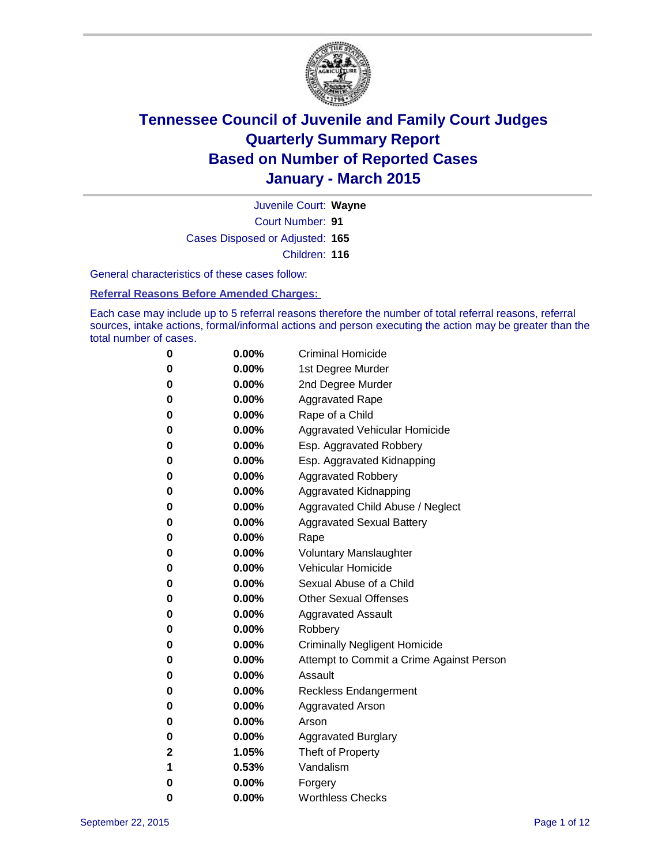

Court Number: **91** Juvenile Court: **Wayne** Cases Disposed or Adjusted: **165** Children: **116**

General characteristics of these cases follow:

**Referral Reasons Before Amended Charges:** 

Each case may include up to 5 referral reasons therefore the number of total referral reasons, referral sources, intake actions, formal/informal actions and person executing the action may be greater than the total number of cases.

| 0            | $0.00\%$ | <b>Criminal Homicide</b>                 |
|--------------|----------|------------------------------------------|
| 0            | $0.00\%$ | 1st Degree Murder                        |
| $\bf{0}$     | $0.00\%$ | 2nd Degree Murder                        |
| 0            | $0.00\%$ | <b>Aggravated Rape</b>                   |
| 0            | $0.00\%$ | Rape of a Child                          |
| 0            | $0.00\%$ | Aggravated Vehicular Homicide            |
| $\bf{0}$     | $0.00\%$ | Esp. Aggravated Robbery                  |
| 0            | $0.00\%$ | Esp. Aggravated Kidnapping               |
| $\bf{0}$     | $0.00\%$ | <b>Aggravated Robbery</b>                |
| $\bf{0}$     | $0.00\%$ | <b>Aggravated Kidnapping</b>             |
| 0            | 0.00%    | Aggravated Child Abuse / Neglect         |
| 0            | $0.00\%$ | <b>Aggravated Sexual Battery</b>         |
| $\bf{0}$     | $0.00\%$ | Rape                                     |
| 0            | $0.00\%$ | <b>Voluntary Manslaughter</b>            |
| 0            | $0.00\%$ | <b>Vehicular Homicide</b>                |
| $\bf{0}$     | $0.00\%$ | Sexual Abuse of a Child                  |
| $\bf{0}$     | $0.00\%$ | <b>Other Sexual Offenses</b>             |
| 0            | $0.00\%$ | <b>Aggravated Assault</b>                |
| 0            | $0.00\%$ | Robbery                                  |
| 0            | $0.00\%$ | <b>Criminally Negligent Homicide</b>     |
| 0            | $0.00\%$ | Attempt to Commit a Crime Against Person |
| 0            | $0.00\%$ | Assault                                  |
| 0            | 0.00%    | <b>Reckless Endangerment</b>             |
| 0            | $0.00\%$ | <b>Aggravated Arson</b>                  |
| 0            | $0.00\%$ | Arson                                    |
| $\bf{0}$     | $0.00\%$ | <b>Aggravated Burglary</b>               |
| $\mathbf{2}$ | 1.05%    | Theft of Property                        |
| 1            | 0.53%    | Vandalism                                |
| $\bf{0}$     | $0.00\%$ | Forgery                                  |
| 0            | 0.00%    | <b>Worthless Checks</b>                  |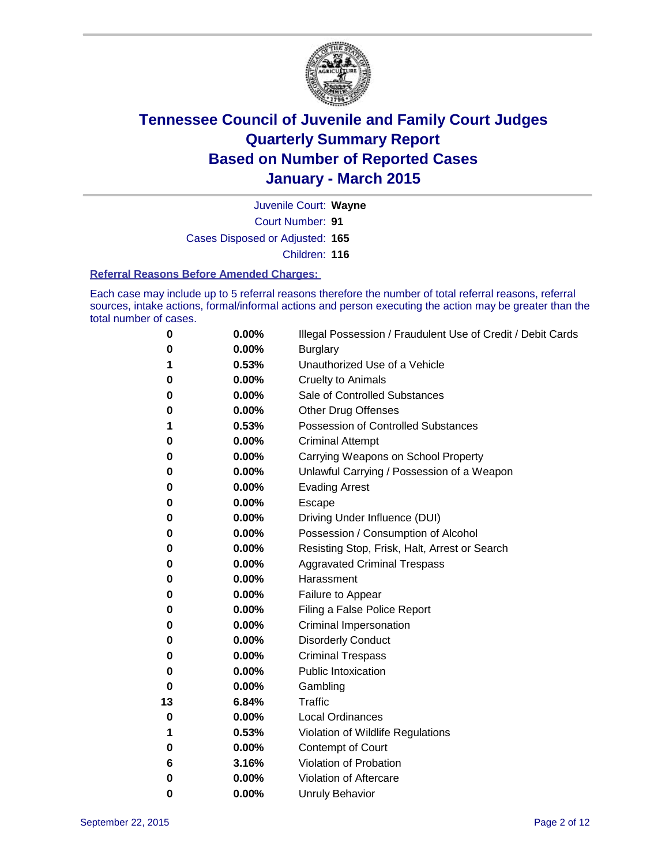

Court Number: **91** Juvenile Court: **Wayne** Cases Disposed or Adjusted: **165** Children: **116**

#### **Referral Reasons Before Amended Charges:**

Each case may include up to 5 referral reasons therefore the number of total referral reasons, referral sources, intake actions, formal/informal actions and person executing the action may be greater than the total number of cases.

| 0  | $0.00\%$ | Illegal Possession / Fraudulent Use of Credit / Debit Cards |
|----|----------|-------------------------------------------------------------|
| 0  | 0.00%    | <b>Burglary</b>                                             |
| 1  | 0.53%    | Unauthorized Use of a Vehicle                               |
| 0  | 0.00%    | <b>Cruelty to Animals</b>                                   |
| 0  | 0.00%    | Sale of Controlled Substances                               |
| 0  | 0.00%    | <b>Other Drug Offenses</b>                                  |
| 1  | 0.53%    | Possession of Controlled Substances                         |
| 0  | 0.00%    | <b>Criminal Attempt</b>                                     |
| 0  | 0.00%    | Carrying Weapons on School Property                         |
| 0  | 0.00%    | Unlawful Carrying / Possession of a Weapon                  |
| 0  | 0.00%    | <b>Evading Arrest</b>                                       |
| 0  | 0.00%    | Escape                                                      |
| 0  | 0.00%    | Driving Under Influence (DUI)                               |
| 0  | 0.00%    | Possession / Consumption of Alcohol                         |
| 0  | 0.00%    | Resisting Stop, Frisk, Halt, Arrest or Search               |
| 0  | 0.00%    | <b>Aggravated Criminal Trespass</b>                         |
| 0  | 0.00%    | Harassment                                                  |
| 0  | 0.00%    | Failure to Appear                                           |
| 0  | 0.00%    | Filing a False Police Report                                |
| 0  | 0.00%    | <b>Criminal Impersonation</b>                               |
| 0  | 0.00%    | <b>Disorderly Conduct</b>                                   |
| 0  | 0.00%    | <b>Criminal Trespass</b>                                    |
| 0  | 0.00%    | <b>Public Intoxication</b>                                  |
| 0  | 0.00%    | Gambling                                                    |
| 13 | 6.84%    | <b>Traffic</b>                                              |
| 0  | 0.00%    | <b>Local Ordinances</b>                                     |
| 1  | 0.53%    | Violation of Wildlife Regulations                           |
| 0  | 0.00%    | Contempt of Court                                           |
| 6  | 3.16%    | Violation of Probation                                      |
| 0  | 0.00%    | Violation of Aftercare                                      |
| 0  | 0.00%    | <b>Unruly Behavior</b>                                      |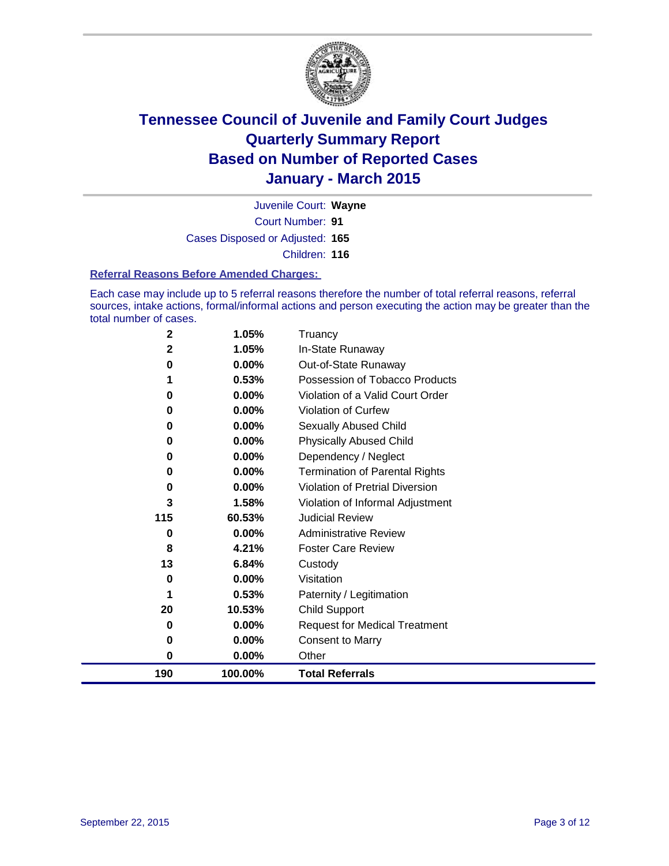

Court Number: **91** Juvenile Court: **Wayne** Cases Disposed or Adjusted: **165** Children: **116**

#### **Referral Reasons Before Amended Charges:**

Each case may include up to 5 referral reasons therefore the number of total referral reasons, referral sources, intake actions, formal/informal actions and person executing the action may be greater than the total number of cases.

| 2   | 1.05%    | Truancy                               |
|-----|----------|---------------------------------------|
| 2   | 1.05%    | In-State Runaway                      |
| 0   | 0.00%    | Out-of-State Runaway                  |
| 1   | 0.53%    | Possession of Tobacco Products        |
| 0   | $0.00\%$ | Violation of a Valid Court Order      |
| 0   | 0.00%    | Violation of Curfew                   |
| 0   | 0.00%    | Sexually Abused Child                 |
| 0   | 0.00%    | <b>Physically Abused Child</b>        |
| 0   | 0.00%    | Dependency / Neglect                  |
| 0   | 0.00%    | <b>Termination of Parental Rights</b> |
| 0   | 0.00%    | Violation of Pretrial Diversion       |
| 3   | 1.58%    | Violation of Informal Adjustment      |
| 115 | 60.53%   | <b>Judicial Review</b>                |
| 0   | $0.00\%$ | <b>Administrative Review</b>          |
| 8   | 4.21%    | <b>Foster Care Review</b>             |
| 13  | 6.84%    | Custody                               |
| 0   | $0.00\%$ | Visitation                            |
| 1   | 0.53%    | Paternity / Legitimation              |
| 20  | 10.53%   | Child Support                         |
| 0   | 0.00%    | <b>Request for Medical Treatment</b>  |
| 0   | 0.00%    | <b>Consent to Marry</b>               |
| 0   | $0.00\%$ | Other                                 |
| 190 | 100.00%  | <b>Total Referrals</b>                |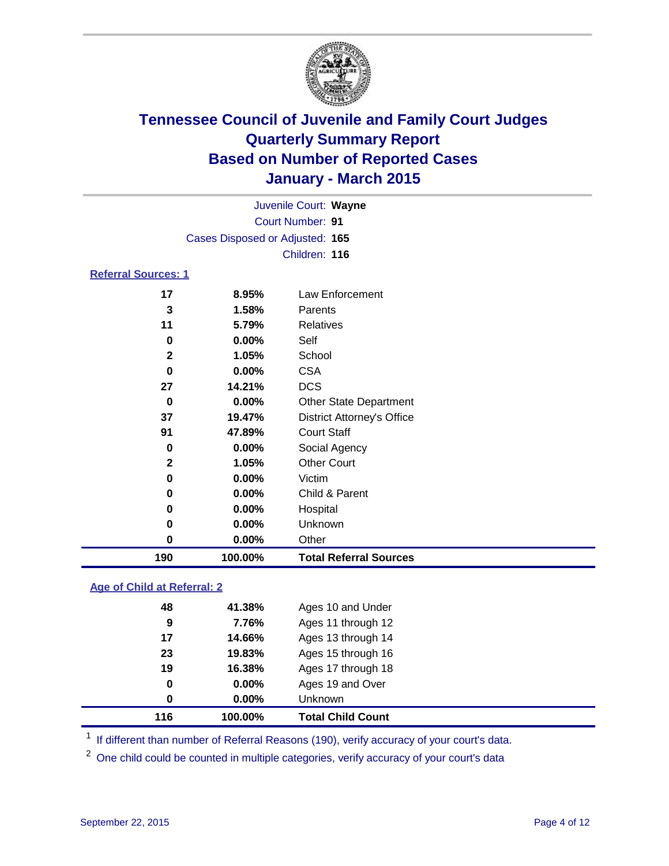

| Juvenile Court: Wayne      |                                 |                                   |  |  |  |  |
|----------------------------|---------------------------------|-----------------------------------|--|--|--|--|
| Court Number: 91           |                                 |                                   |  |  |  |  |
|                            | Cases Disposed or Adjusted: 165 |                                   |  |  |  |  |
|                            |                                 | Children: 116                     |  |  |  |  |
| <b>Referral Sources: 1</b> |                                 |                                   |  |  |  |  |
| 17                         | 8.95%                           | Law Enforcement                   |  |  |  |  |
| 3                          | 1.58%                           | Parents                           |  |  |  |  |
| 11                         | 5.79%                           | Relatives                         |  |  |  |  |
| 0                          | $0.00\%$                        | Self                              |  |  |  |  |
| $\mathbf{2}$               | 1.05%                           | School                            |  |  |  |  |
| 0                          | $0.00\%$                        | <b>CSA</b>                        |  |  |  |  |
| 27                         | 14.21%                          | <b>DCS</b>                        |  |  |  |  |
| 0                          | 0.00%                           | <b>Other State Department</b>     |  |  |  |  |
| 37                         | 19.47%                          | <b>District Attorney's Office</b> |  |  |  |  |
| 91                         | 47.89%                          | <b>Court Staff</b>                |  |  |  |  |
| 0                          | 0.00%                           | Social Agency                     |  |  |  |  |
| $\mathbf{2}$               | 1.05%                           | <b>Other Court</b>                |  |  |  |  |
| 0                          | 0.00%                           | Victim                            |  |  |  |  |
| 0                          | 0.00%                           | Child & Parent                    |  |  |  |  |
| 0                          | $0.00\%$                        | Hospital                          |  |  |  |  |
| 0                          | $0.00\%$                        | Unknown                           |  |  |  |  |
| 0                          | $0.00\%$                        | Other                             |  |  |  |  |

### **Age of Child at Referral: 2**

| 116 | 100.00%  | <b>Total Child Count</b> |
|-----|----------|--------------------------|
| 0   | $0.00\%$ | Unknown                  |
| 0   | 0.00%    | Ages 19 and Over         |
| 19  | 16.38%   | Ages 17 through 18       |
| 23  | 19.83%   | Ages 15 through 16       |
| 17  | 14.66%   | Ages 13 through 14       |
| 9   | 7.76%    | Ages 11 through 12       |
| 48  | 41.38%   | Ages 10 and Under        |
|     |          |                          |

<sup>1</sup> If different than number of Referral Reasons (190), verify accuracy of your court's data.

**100.00% Total Referral Sources**

One child could be counted in multiple categories, verify accuracy of your court's data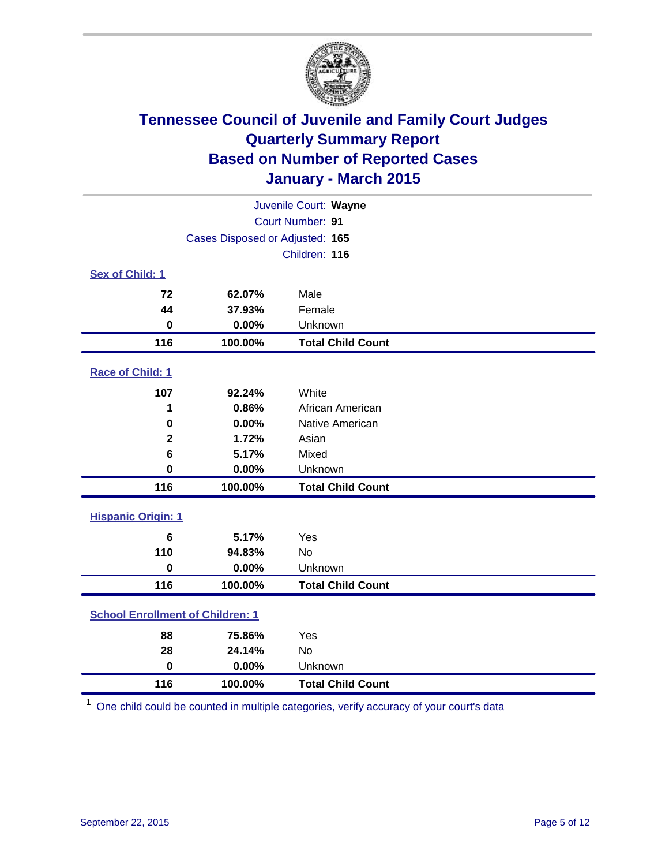

|                                         | Juvenile Court: Wayne           |                          |  |  |
|-----------------------------------------|---------------------------------|--------------------------|--|--|
|                                         | Court Number: 91                |                          |  |  |
|                                         | Cases Disposed or Adjusted: 165 |                          |  |  |
|                                         |                                 | Children: 116            |  |  |
| Sex of Child: 1                         |                                 |                          |  |  |
| 72                                      | 62.07%                          | Male                     |  |  |
| 44                                      | 37.93%                          | Female                   |  |  |
| $\bf{0}$                                | 0.00%                           | Unknown                  |  |  |
| 116                                     | 100.00%                         | <b>Total Child Count</b> |  |  |
| Race of Child: 1                        |                                 |                          |  |  |
| 107                                     | 92.24%                          | White                    |  |  |
| 1                                       | 0.86%                           | African American         |  |  |
| 0                                       | 0.00%                           | Native American          |  |  |
| $\mathbf 2$                             | 1.72%                           | Asian                    |  |  |
| 6                                       | 5.17%                           | Mixed                    |  |  |
| 0                                       | 0.00%                           | Unknown                  |  |  |
| 116                                     | 100.00%                         | <b>Total Child Count</b> |  |  |
| <b>Hispanic Origin: 1</b>               |                                 |                          |  |  |
| 6                                       | 5.17%                           | Yes                      |  |  |
| 110                                     | 94.83%                          | <b>No</b>                |  |  |
| 0                                       | 0.00%                           | Unknown                  |  |  |
| 116                                     | 100.00%                         | <b>Total Child Count</b> |  |  |
| <b>School Enrollment of Children: 1</b> |                                 |                          |  |  |
| 88                                      | 75.86%                          | Yes                      |  |  |
| 28                                      | 24.14%                          | <b>No</b>                |  |  |
| $\bf{0}$                                | 0.00%                           | Unknown                  |  |  |
| 116                                     | 100.00%                         | <b>Total Child Count</b> |  |  |

One child could be counted in multiple categories, verify accuracy of your court's data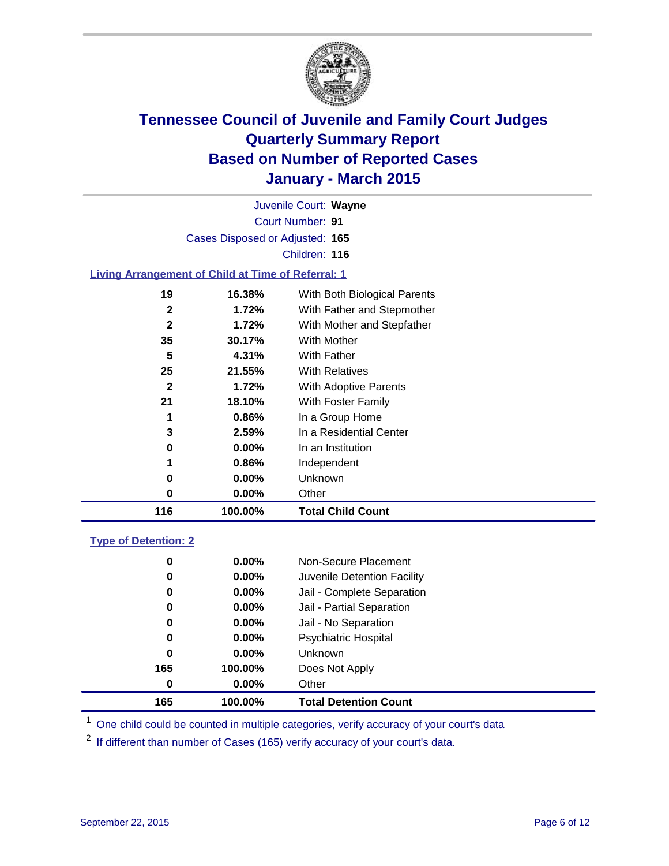

Court Number: **91** Juvenile Court: **Wayne** Cases Disposed or Adjusted: **165** Children: **116**

### **Living Arrangement of Child at Time of Referral: 1**

| 116          | 100.00%  | <b>Total Child Count</b>     |
|--------------|----------|------------------------------|
| 0            | $0.00\%$ | Other                        |
| 0            | $0.00\%$ | Unknown                      |
| 1            | 0.86%    | Independent                  |
| 0            | $0.00\%$ | In an Institution            |
| 3            | 2.59%    | In a Residential Center      |
| 1            | 0.86%    | In a Group Home              |
| 21           | 18.10%   | With Foster Family           |
| $\mathbf{2}$ | 1.72%    | With Adoptive Parents        |
| 25           | 21.55%   | <b>With Relatives</b>        |
| 5            | 4.31%    | With Father                  |
| 35           | 30.17%   | <b>With Mother</b>           |
| $\mathbf{2}$ | 1.72%    | With Mother and Stepfather   |
| 2            | 1.72%    | With Father and Stepmother   |
| 19           | 16.38%   | With Both Biological Parents |
|              |          |                              |

#### **Type of Detention: 2**

| 0        | $0.00\%$ | Non-Secure Placement         |  |
|----------|----------|------------------------------|--|
| 0        | $0.00\%$ | Juvenile Detention Facility  |  |
| 0        | $0.00\%$ | Jail - Complete Separation   |  |
| 0        | 0.00%    | Jail - Partial Separation    |  |
| 0        | $0.00\%$ | Jail - No Separation         |  |
| 0        | $0.00\%$ | <b>Psychiatric Hospital</b>  |  |
| 0        | $0.00\%$ | <b>Unknown</b>               |  |
| 165      | 100.00%  | Does Not Apply               |  |
| $\bf{0}$ | $0.00\%$ | Other                        |  |
| 165      | 100.00%  | <b>Total Detention Count</b> |  |

<sup>1</sup> One child could be counted in multiple categories, verify accuracy of your court's data

If different than number of Cases (165) verify accuracy of your court's data.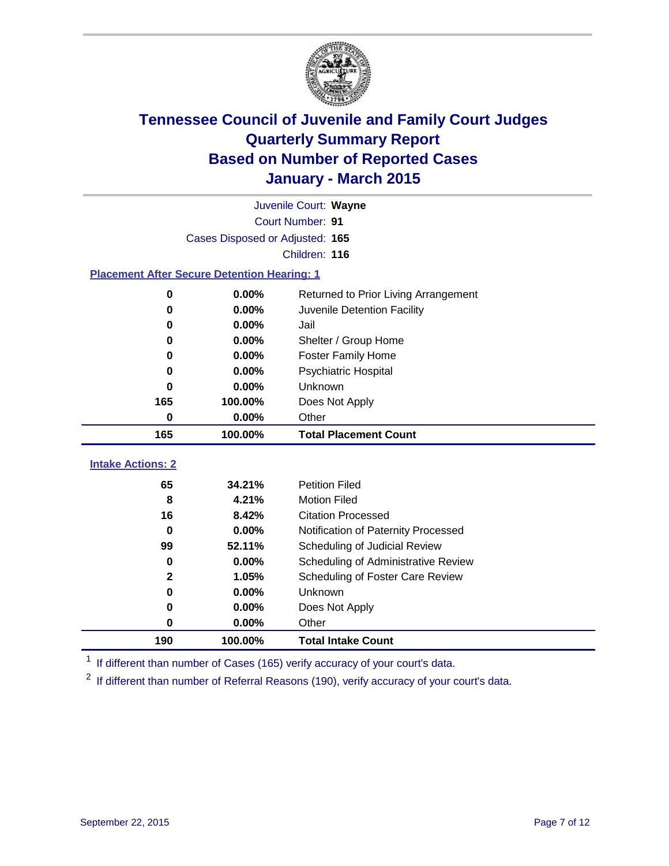

|                                                    |                                 | Juvenile Court: Wayne                |
|----------------------------------------------------|---------------------------------|--------------------------------------|
|                                                    |                                 | Court Number: 91                     |
|                                                    | Cases Disposed or Adjusted: 165 |                                      |
|                                                    |                                 | Children: 116                        |
| <b>Placement After Secure Detention Hearing: 1</b> |                                 |                                      |
| 0                                                  | 0.00%                           | Returned to Prior Living Arrangement |
| 0                                                  | 0.00%                           | Juvenile Detention Facility          |
| 0                                                  | 0.00%                           | Jail                                 |
| 0                                                  | 0.00%                           | Shelter / Group Home                 |
| 0                                                  | 0.00%                           | <b>Foster Family Home</b>            |
| 0                                                  | 0.00%                           | <b>Psychiatric Hospital</b>          |
| 0                                                  | 0.00%                           | Unknown                              |
| 165                                                | 100.00%                         | Does Not Apply                       |
| 0                                                  | 0.00%                           | Other                                |
| 165                                                | 100.00%                         | <b>Total Placement Count</b>         |
| <b>Intake Actions: 2</b>                           |                                 |                                      |
| 65                                                 | 34.21%                          | <b>Petition Filed</b>                |
| 8                                                  | 4.21%                           | <b>Motion Filed</b>                  |
| 16                                                 | 8.42%                           | <b>Citation Processed</b>            |
| 0                                                  | 0.00%                           | Notification of Paternity Processed  |
| 99                                                 | 52.11%                          | Scheduling of Judicial Review        |
| 0                                                  | 0.00%                           | Scheduling of Administrative Review  |
| $\mathbf{2}$                                       | 1.05%                           | Scheduling of Foster Care Review     |
| $\bf{0}$                                           | 0.00%                           | Unknown                              |
| 0                                                  | 0.00%                           | Does Not Apply                       |
| 0                                                  | 0.00%                           | Other                                |
| 190                                                | 100.00%                         | <b>Total Intake Count</b>            |

<sup>1</sup> If different than number of Cases (165) verify accuracy of your court's data.

<sup>2</sup> If different than number of Referral Reasons (190), verify accuracy of your court's data.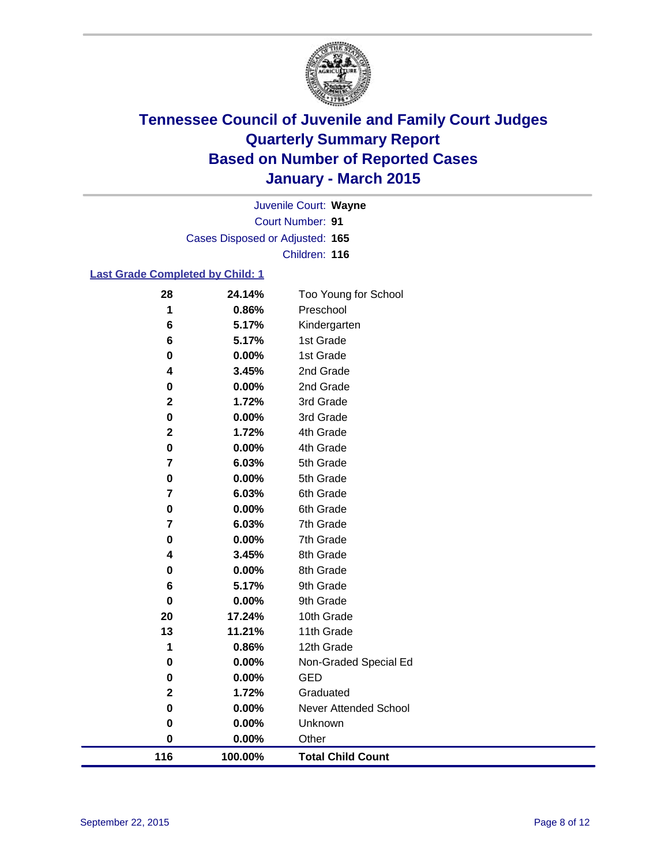

Court Number: **91** Juvenile Court: **Wayne** Cases Disposed or Adjusted: **165** Children: **116**

### **Last Grade Completed by Child: 1**

| 116                     | 100.00%        | <b>Total Child Count</b> |
|-------------------------|----------------|--------------------------|
| $\bf{0}$                | 0.00%          | Other                    |
| 0                       | 0.00%          | Unknown                  |
| 0                       | 0.00%          | Never Attended School    |
| $\mathbf 2$             | 1.72%          | Graduated                |
| 0                       | 0.00%          | <b>GED</b>               |
| 0                       | 0.00%          | Non-Graded Special Ed    |
| 1                       | 0.86%          | 12th Grade               |
| 13                      | 11.21%         | 11th Grade               |
| 20                      | 17.24%         | 10th Grade               |
| 0                       | 0.00%          | 9th Grade                |
| 6                       | 5.17%          | 9th Grade                |
| 0                       | 0.00%          | 8th Grade                |
| 4                       | 3.45%          | 8th Grade                |
| 0                       | 0.00%          | 7th Grade                |
| 7                       | 6.03%          | 7th Grade                |
| 0                       | 6.03%<br>0.00% | 6th Grade<br>6th Grade   |
| 0<br>7                  | 0.00%          | 5th Grade                |
| 7                       | 6.03%          | 5th Grade                |
| 0                       | 0.00%          | 4th Grade                |
| $\overline{2}$          | 1.72%          | 4th Grade                |
| 0                       | 0.00%          | 3rd Grade                |
| $\overline{\mathbf{2}}$ | 1.72%          | 3rd Grade                |
| 0                       | 0.00%          | 2nd Grade                |
| 4                       | 3.45%          | 2nd Grade                |
| 0                       | 0.00%          | 1st Grade                |
| 6                       | 5.17%          | 1st Grade                |
| 6                       | 5.17%          | Kindergarten             |
| 1                       | 0.86%          | Preschool                |
| 28                      | 24.14%         | Too Young for School     |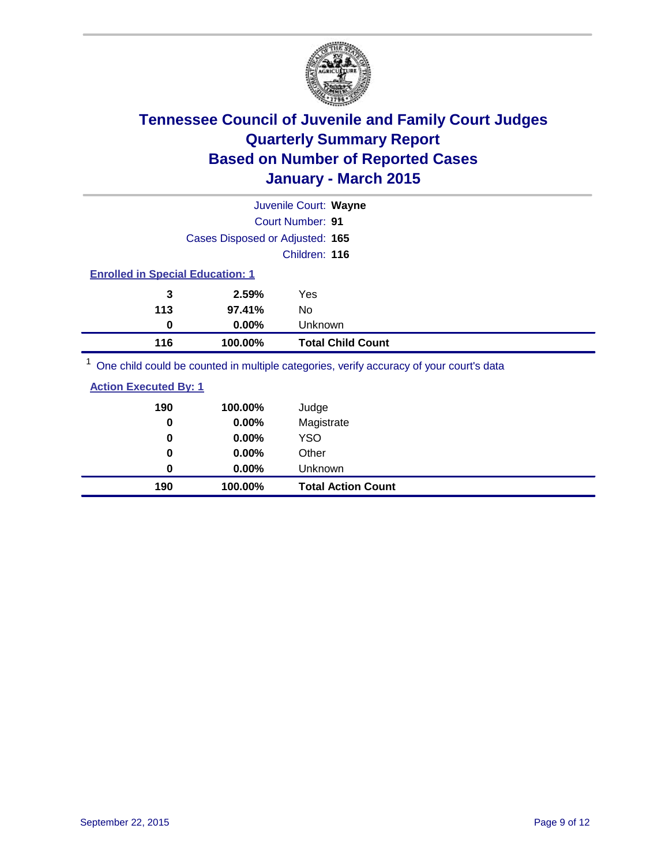

|                                         |                                 | Juvenile Court: Wayne    |
|-----------------------------------------|---------------------------------|--------------------------|
|                                         |                                 | Court Number: 91         |
|                                         | Cases Disposed or Adjusted: 165 |                          |
|                                         |                                 | Children: 116            |
| <b>Enrolled in Special Education: 1</b> |                                 |                          |
| 3                                       | 2.59%                           | Yes                      |
| 113                                     | 97.41%                          | No                       |
| 0                                       | 0.00%                           | Unknown                  |
| 116                                     | 100.00%                         | <b>Total Child Count</b> |
| $1 -$                                   |                                 |                          |

<sup>1</sup> One child could be counted in multiple categories, verify accuracy of your court's data

| <b>Action Executed By: 1</b> |
|------------------------------|
|------------------------------|

| 190<br>0 | 100.00%<br>0.00% | Judge<br>Magistrate       |
|----------|------------------|---------------------------|
| 0        | $0.00\%$         | <b>YSO</b>                |
| 0        | $0.00\%$         | Other                     |
| 0        | $0.00\%$         | Unknown                   |
| 190      | 100.00%          | <b>Total Action Count</b> |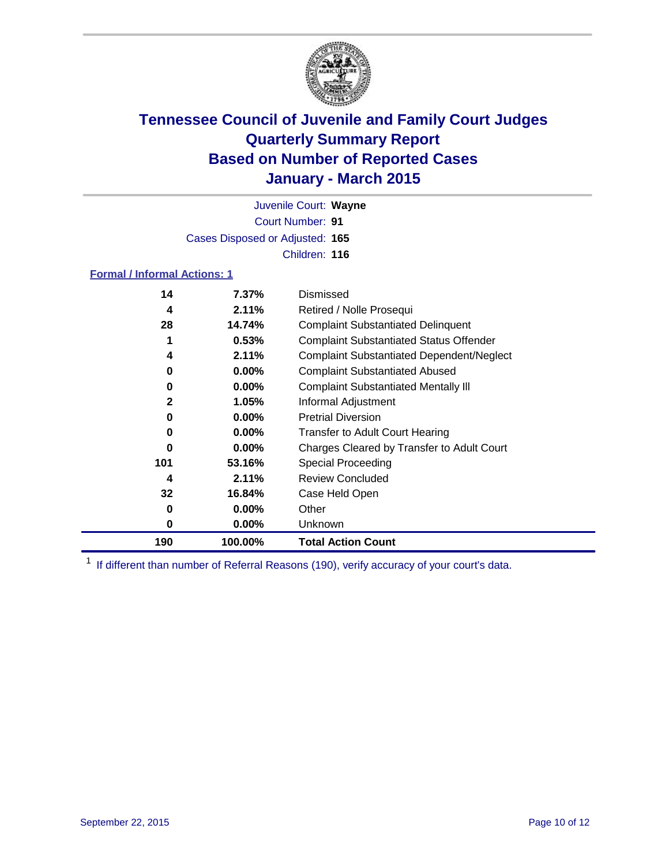

Court Number: **91** Juvenile Court: **Wayne** Cases Disposed or Adjusted: **165** Children: **116**

### **Formal / Informal Actions: 1**

| 14           | 7.37%    | Dismissed                                        |
|--------------|----------|--------------------------------------------------|
| 4            | 2.11%    | Retired / Nolle Prosequi                         |
| 28           | 14.74%   | <b>Complaint Substantiated Delinquent</b>        |
| 1            | 0.53%    | <b>Complaint Substantiated Status Offender</b>   |
| 4            | 2.11%    | <b>Complaint Substantiated Dependent/Neglect</b> |
| 0            | $0.00\%$ | <b>Complaint Substantiated Abused</b>            |
| 0            | $0.00\%$ | <b>Complaint Substantiated Mentally III</b>      |
| $\mathbf{2}$ | 1.05%    | Informal Adjustment                              |
| 0            | $0.00\%$ | <b>Pretrial Diversion</b>                        |
| 0            | $0.00\%$ | <b>Transfer to Adult Court Hearing</b>           |
| 0            | $0.00\%$ | Charges Cleared by Transfer to Adult Court       |
| 101          | 53.16%   | Special Proceeding                               |
| 4            | 2.11%    | <b>Review Concluded</b>                          |
| 32           | 16.84%   | Case Held Open                                   |
| 0            | $0.00\%$ | Other                                            |
| 0            | $0.00\%$ | Unknown                                          |
| 190          | 100.00%  | <b>Total Action Count</b>                        |

<sup>1</sup> If different than number of Referral Reasons (190), verify accuracy of your court's data.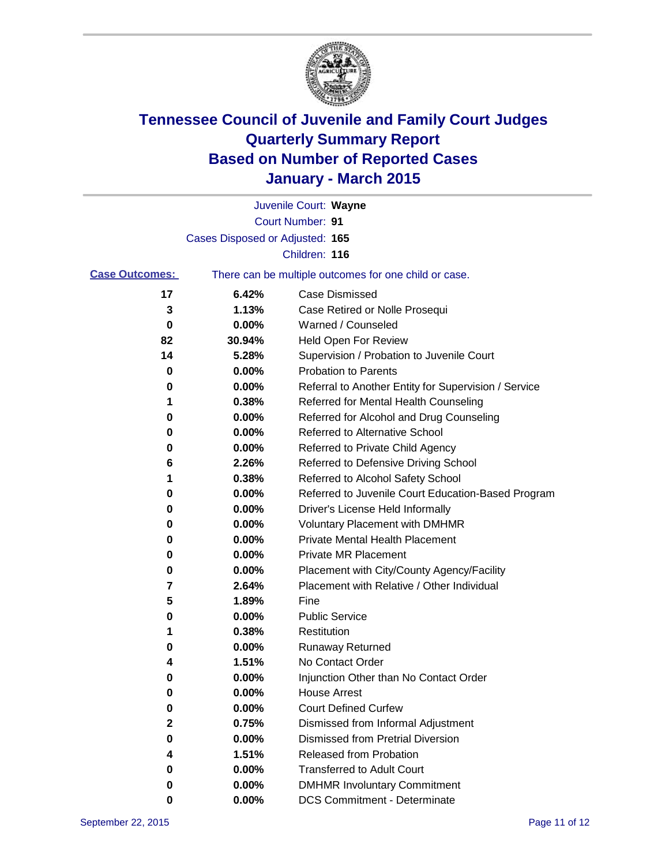

|                       |                                 | Juvenile Court: Wayne                                 |
|-----------------------|---------------------------------|-------------------------------------------------------|
|                       |                                 | Court Number: 91                                      |
|                       | Cases Disposed or Adjusted: 165 |                                                       |
|                       |                                 | Children: 116                                         |
| <b>Case Outcomes:</b> |                                 | There can be multiple outcomes for one child or case. |
| 17                    | 6.42%                           | Case Dismissed                                        |
| 3                     | 1.13%                           | Case Retired or Nolle Prosequi                        |
| 0                     | 0.00%                           | Warned / Counseled                                    |
| 82                    | 30.94%                          | Held Open For Review                                  |
| 14                    | 5.28%                           | Supervision / Probation to Juvenile Court             |
| 0                     | 0.00%                           | <b>Probation to Parents</b>                           |
| 0                     | 0.00%                           | Referral to Another Entity for Supervision / Service  |
| 1                     | 0.38%                           | Referred for Mental Health Counseling                 |
| 0                     | 0.00%                           | Referred for Alcohol and Drug Counseling              |
| 0                     | 0.00%                           | <b>Referred to Alternative School</b>                 |
| 0                     | 0.00%                           | Referred to Private Child Agency                      |
| 6                     | 2.26%                           | Referred to Defensive Driving School                  |
| 1                     | 0.38%                           | Referred to Alcohol Safety School                     |
| 0                     | 0.00%                           | Referred to Juvenile Court Education-Based Program    |
| 0                     | 0.00%                           | Driver's License Held Informally                      |
| 0                     | 0.00%                           | <b>Voluntary Placement with DMHMR</b>                 |
| 0                     | 0.00%                           | <b>Private Mental Health Placement</b>                |
| 0                     | 0.00%                           | <b>Private MR Placement</b>                           |
| 0                     | 0.00%                           | Placement with City/County Agency/Facility            |
| 7                     | 2.64%                           | Placement with Relative / Other Individual            |
| 5                     | 1.89%                           | Fine                                                  |
| 0                     | 0.00%                           | <b>Public Service</b>                                 |
| 1                     | 0.38%                           | Restitution                                           |
| 0                     | 0.00%                           | <b>Runaway Returned</b>                               |
| 4                     | 1.51%                           | No Contact Order                                      |
| 0                     | 0.00%                           | Injunction Other than No Contact Order                |
| U                     | 0.00%                           | <b>House Arrest</b>                                   |
| 0                     | 0.00%                           | <b>Court Defined Curfew</b>                           |
| 2                     | 0.75%                           | Dismissed from Informal Adjustment                    |
| 0                     | 0.00%                           | <b>Dismissed from Pretrial Diversion</b>              |
| 4                     | 1.51%                           | Released from Probation                               |
| 0                     | 0.00%                           | <b>Transferred to Adult Court</b>                     |
| 0                     | 0.00%                           | <b>DMHMR Involuntary Commitment</b>                   |
| 0                     | $0.00\%$                        | <b>DCS Commitment - Determinate</b>                   |